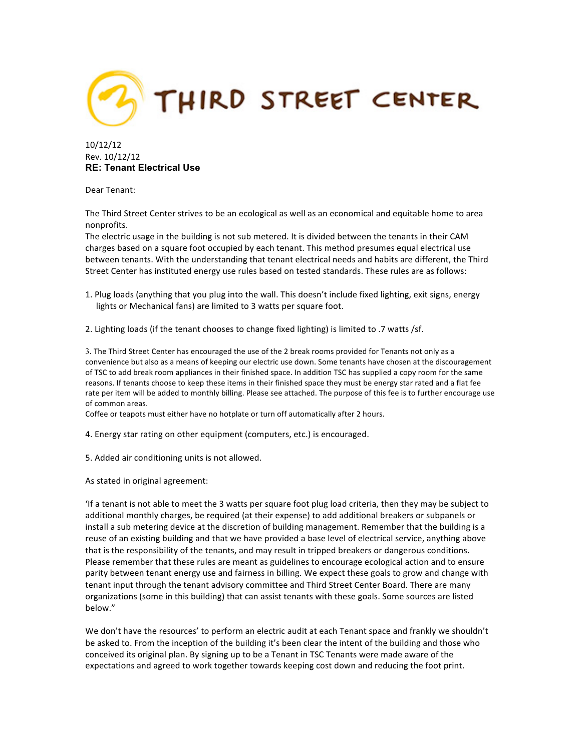

10/12/12 Rev. 10/12/12 **RE: Tenant Electrical Use**

Dear Tenant:

The Third Street Center strives to be an ecological as well as an economical and equitable home to area nonprofits.

The electric usage in the building is not sub metered. It is divided between the tenants in their CAM charges based on a square foot occupied by each tenant. This method presumes equal electrical use between tenants. With the understanding that tenant electrical needs and habits are different, the Third Street Center has instituted energy use rules based on tested standards. These rules are as follows:

1. Plug loads (anything that you plug into the wall. This doesn't include fixed lighting, exit signs, energy lights or Mechanical fans) are limited to 3 watts per square foot.

2. Lighting loads (if the tenant chooses to change fixed lighting) is limited to .7 watts /sf.

3. The Third Street Center has encouraged the use of the 2 break rooms provided for Tenants not only as a convenience but also as a means of keeping our electric use down. Some tenants have chosen at the discouragement of TSC to add break room appliances in their finished space. In addition TSC has supplied a copy room for the same reasons. If tenants choose to keep these items in their finished space they must be energy star rated and a flat fee rate per item will be added to monthly billing. Please see attached. The purpose of this fee is to further encourage use of common areas.

Coffee or teapots must either have no hotplate or turn off automatically after 2 hours.

4. Energy star rating on other equipment (computers, etc.) is encouraged.

5. Added air conditioning units is not allowed.

As stated in original agreement:

If a tenant is not able to meet the 3 watts per square foot plug load criteria, then they may be subject to additional monthly charges, be required (at their expense) to add additional breakers or subpanels or install a sub metering device at the discretion of building management. Remember that the building is a reuse of an existing building and that we have provided a base level of electrical service, anything above that is the responsibility of the tenants, and may result in tripped breakers or dangerous conditions. Please remember that these rules are meant as guidelines to encourage ecological action and to ensure parity between tenant energy use and fairness in billing. We expect these goals to grow and change with tenant input through the tenant advisory committee and Third Street Center Board. There are many organizations (some in this building) that can assist tenants with these goals. Some sources are listed below."

We don't have the resources' to perform an electric audit at each Tenant space and frankly we shouldn't be asked to. From the inception of the building it's been clear the intent of the building and those who conceived its original plan. By signing up to be a Tenant in TSC Tenants were made aware of the expectations and agreed to work together towards keeping cost down and reducing the foot print.